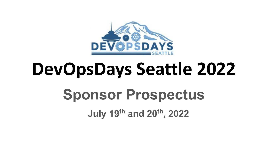

# **DevOpsDays Seattle 2022 Sponsor Prospectus**

**July 19th and 20th, 2022**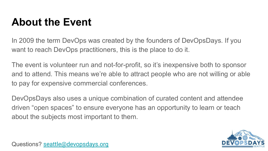### **About the Event**

In 2009 the term DevOps was created by the founders of DevOpsDays. If you want to reach DevOps practitioners, this is the place to do it.

The event is volunteer run and not-for-profit, so it's inexpensive both to sponsor and to attend. This means we're able to attract people who are not willing or able to pay for expensive commercial conferences.

DevOpsDays also uses a unique combination of curated content and attendee driven "open spaces" to ensure everyone has an opportunity to learn or teach about the subjects most important to them.

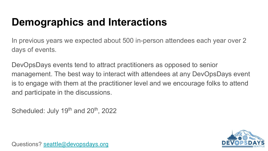### **Demographics and Interactions**

In previous years we expected about 500 in-person attendees each year over 2 days of events.

DevOpsDays events tend to attract practitioners as opposed to senior management. The best way to interact with attendees at any DevOpsDays event is to engage with them at the practitioner level and we encourage folks to attend and participate in the discussions.

Scheduled: July  $19<sup>th</sup>$  and  $20<sup>th</sup>$ , 2022

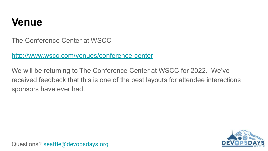#### **Venue**

The Conference Center at WSCC

http://www.wscc.com/venues/conference-center

We will be returning to The Conference Center at WSCC for 2022. We've received feedback that this is one of the best layouts for attendee interactions sponsors have ever had.

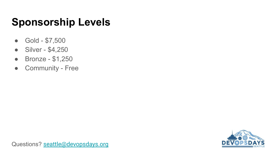### **Sponsorship Levels**

- Gold \$7,500
- Silver \$4,250
- Bronze \$1,250
- Community Free

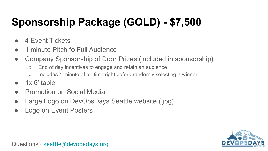# **Sponsorship Package (GOLD) - \$7,500**

- 4 Event Tickets
- 1 minute Pitch fo Full Audience
- Company Sponsorship of Door Prizes (included in sponsorship)
	- End of day incentives to engage and retain an audience
	- Includes 1 minute of air time right before randomly selecting a winner
- $\bullet$  1x 6' table
- Promotion on Social Media
- Large Logo on DevOpsDays Seattle website (.jpg)
- Logo on Event Posters

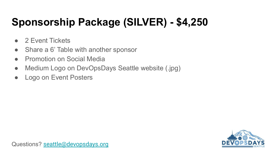# **Sponsorship Package (SILVER) - \$4,250**

- 2 Fvent Tickets
- Share a 6' Table with another sponsor
- Promotion on Social Media
- Medium Logo on DevOpsDays Seattle website (.jpg)
- Logo on Event Posters

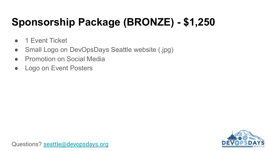# **Sponsorship Package (BRONZE) - \$1,250**

- 1 Fvent Ticket
- Small Logo on DevOpsDays Seattle website (.jpg)
- Promotion on Social Media
- Logo on Event Posters

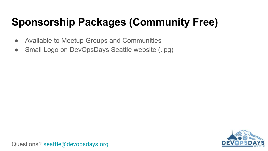# **Sponsorship Packages (Community Free)**

- Available to Meetup Groups and Communities
- Small Logo on DevOpsDays Seattle website (.jpg)

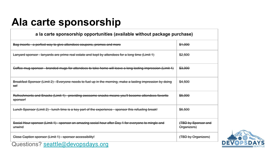#### **Ala carte sponsorship**

#### **a la carte sponsorship opportunities (available without package purchase)**

| Bag inserts - a perfect way to give attendees coupons, promos and more                                                       | \$1,000                            |
|------------------------------------------------------------------------------------------------------------------------------|------------------------------------|
| Lanyard sponsor lanyards are prime real estate and kept by attendees for a long time (Limit 1)                               | \$2,500                            |
| Goffee mug sponsor branded mugs for attendees to take home will leave a long lasting impression (Limit 1)                    | \$3,000                            |
| Breakfast Sponsor (Limit 2) - Everyone needs to fuel up in the morning, make a lasting impression by doing<br><del>so!</del> | \$4,500                            |
| Refreshments and Snaeks (Limit 1) - providing awesome snaeks means you'll become attendees favorite<br><del>sponsor!</del>   | \$5,000                            |
| Lunch Sponsor (Limit 2) lunch time is a key part of the experience sponsor this refueling break!                             | \$6,500                            |
| Social Hour sponsor (Limit 1) - sponsor an amazing social hour after Day 1 for everyone to mingle and<br>unwind              | (TBD by Sponsor and<br>Organizers) |
| Glose Caption sponsor (Limit 1) - sponsor accessibility!                                                                     | (TBD by Organizers)                |
| Questions? seattle@devopsdays.org                                                                                            |                                    |